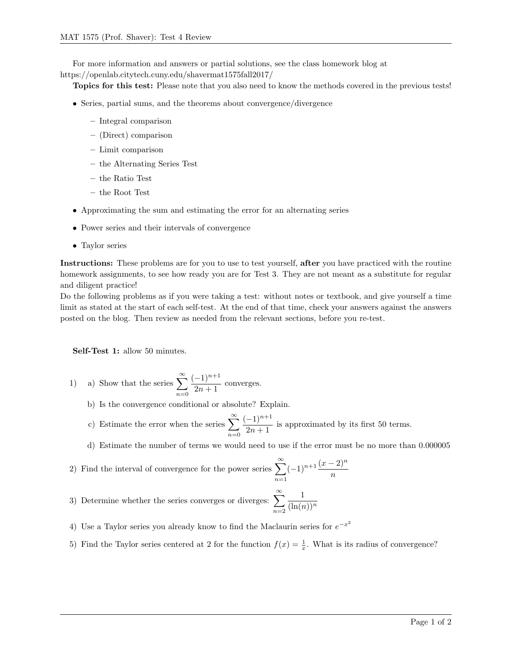For more information and answers or partial solutions, see the class homework blog at https://openlab.citytech.cuny.edu/shavermat1575fall2017/

Topics for this test: Please note that you also need to know the methods covered in the previous tests!

- Series, partial sums, and the theorems about convergence/divergence
	- Integral comparison
	- (Direct) comparison
	- Limit comparison
	- the Alternating Series Test
	- the Ratio Test
	- the Root Test
- Approximating the sum and estimating the error for an alternating series
- Power series and their intervals of convergence
- Taylor series

Instructions: These problems are for you to use to test yourself, after you have practiced with the routine homework assignments, to see how ready you are for Test 3. They are not meant as a substitute for regular and diligent practice!

Do the following problems as if you were taking a test: without notes or textbook, and give yourself a time limit as stated at the start of each self-test. At the end of that time, check your answers against the answers posted on the blog. Then review as needed from the relevant sections, before you re-test.

Self-Test 1: allow 50 minutes.

- 1) a) Show that the series  $\sum_{n=1}^{\infty}$  $n=0$  $(-1)^{n+1}$  $\frac{1}{2n+1}$  converges.
	- b) Is the convergence conditional or absolute? Explain.
	- c) Estimate the error when the series  $\sum_{n=1}^{\infty}$  $n=0$  $(-1)^{n+1}$  $\frac{1}{2n+1}$  is approximated by its first 50 terms.

d) Estimate the number of terms we would need to use if the error must be no more than 0.000005

2) Find the interval of convergence for the power series  $\sum_{n=1}^{\infty}$  $n=1$  $(-1)^{n+1}\frac{(x-2)^n}{n}$ 

3) Determine whether the series converges or diverges:  $\sum_{n=1}^{\infty}$  $n=2$ 1  $(\ln(n))^n$ 

- 4) Use a Taylor series you already know to find the Maclaurin series for  $e^{-x^2}$
- 5) Find the Taylor series centered at 2 for the function  $f(x) = \frac{1}{x}$ . What is its radius of convergence?